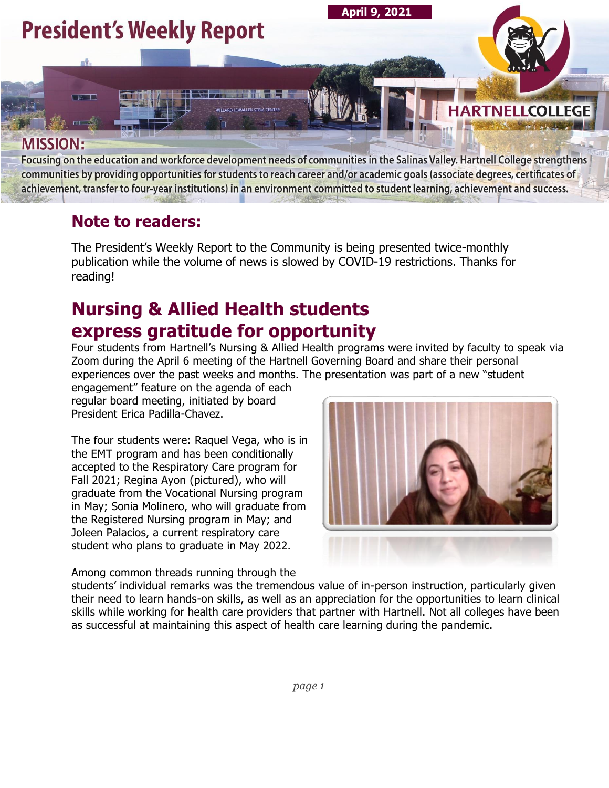

Focusing on the education and workforce development needs of communities in the Salinas Valley. Hartnell College strengthens communities by providing opportunities for students to reach career and/or academic goals (associate degrees, certificates of achievement, transfer to four-year institutions) in an environment committed to student learning, achievement and success.

### **Note to readers:**

The President's Weekly Report to the Community is being presented twice-monthly publication while the volume of news is slowed by COVID-19 restrictions. Thanks for reading!

## **Nursing & Allied Health students express gratitude for opportunity**

Four students from Hartnell's Nursing & Allied Health programs were invited by faculty to speak via Zoom during the April 6 meeting of the Hartnell Governing Board and share their personal experiences over the past weeks and months. The presentation was part of a new "student

engagement" feature on the agenda of each regular board meeting, initiated by board President Erica Padilla-Chavez.

The four students were: Raquel Vega, who is in the EMT program and has been conditionally accepted to the Respiratory Care program for Fall 2021; Regina Ayon (pictured), who will graduate from the Vocational Nursing program in May; Sonia Molinero, who will graduate from the Registered Nursing program in May; and Joleen Palacios, a current respiratory care student who plans to graduate in May 2022.

Among common threads running through the



students' individual remarks was the tremendous value of in-person instruction, particularly given their need to learn hands-on skills, as well as an appreciation for the opportunities to learn clinical skills while working for health care providers that partner with Hartnell. Not all colleges have been as successful at maintaining this aspect of health care learning during the pandemic.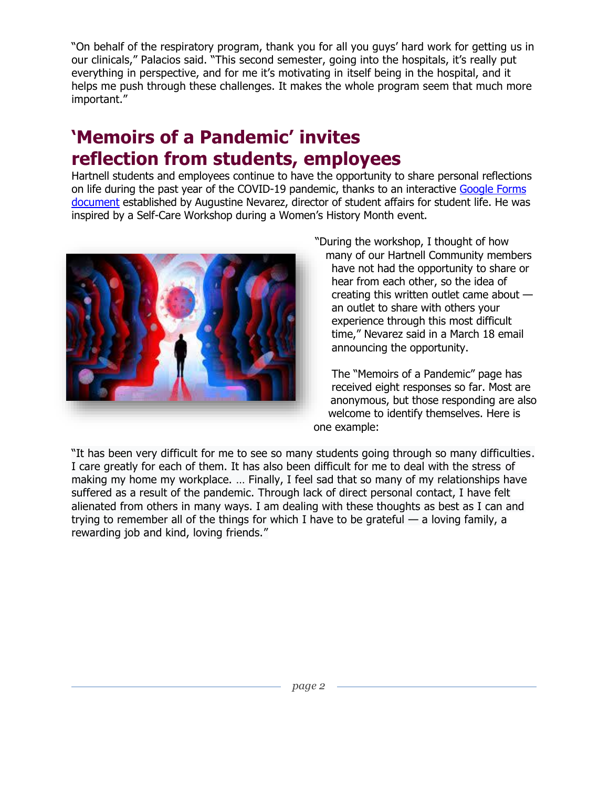"On behalf of the respiratory program, thank you for all you guys' hard work for getting us in our clinicals," Palacios said. "This second semester, going into the hospitals, it's really put everything in perspective, and for me it's motivating in itself being in the hospital, and it helps me push through these challenges. It makes the whole program seem that much more important."

## **'Memoirs of a Pandemic' invites reflection from students, employees**

Hartnell students and employees continue to have the opportunity to share personal reflections on life during the past year of the COVID-19 pandemic, thanks to an interactive Google Forms [document](https://docs.google.com/forms/d/e/1FAIpQLScSoMhkiUl_m2WIN7djh_xqYQvOLtWQWi778JoA7xB8zi8xMQ/viewform?gxids=7628) established by Augustine Nevarez, director of student affairs for student life. He was inspired by a Self-Care Workshop during a Women's History Month event.



"During the workshop, I thought of how many of our Hartnell Community members have not had the opportunity to share or hear from each other, so the idea of creating this written outlet came about an outlet to share with others your experience through this most difficult time," Nevarez said in a March 18 email announcing the opportunity.

The "Memoirs of a Pandemic" page has received eight responses so far. Most are anonymous, but those responding are also welcome to identify themselves. Here is one example:

"It has been very difficult for me to see so many students going through so many difficulties. I care greatly for each of them. It has also been difficult for me to deal with the stress of making my home my workplace. … Finally, I feel sad that so many of my relationships have suffered as a result of the pandemic. Through lack of direct personal contact, I have felt alienated from others in many ways. I am dealing with these thoughts as best as I can and trying to remember all of the things for which I have to be grateful  $-$  a loving family, a rewarding job and kind, loving friends."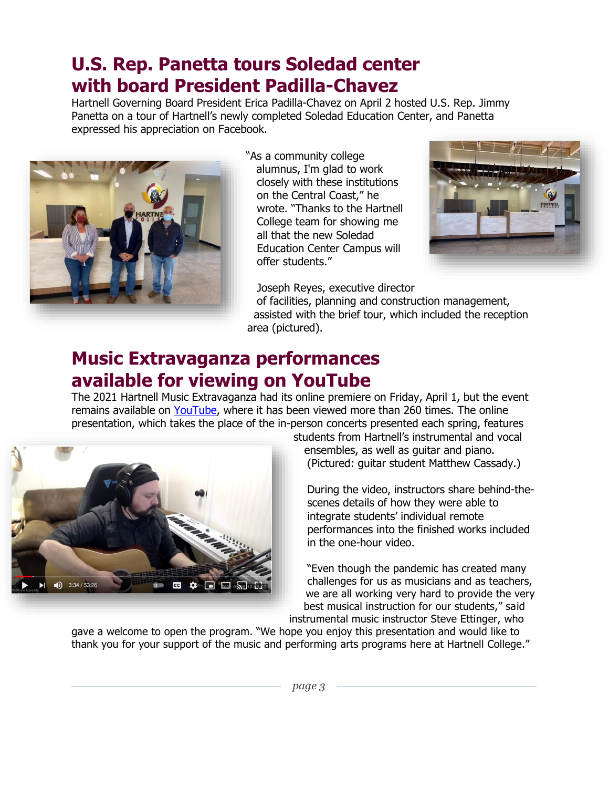### **U.S. Rep. Panetta tours Soledad center with board President Padilla-Chavez**

Hartnell Governing Board President Erica Padilla-Chavez on April 2 hosted U.S. Rep. Jimmy Panetta on a tour of Hartnell's newly completed Soledad Education Center, and Panetta expressed his appreciation on Facebook.



"As a community college alumnus, I'm glad to work closely with these institutions on the Central Coast," he wrote. "Thanks to the Hartnell College team for showing me all that the new Soledad Education Center Campus will offer students."



Joseph Reyes, executive director

of facilities, planning and construction management, assisted with the brief tour, which included the reception area (pictured).

### **Music Extravaganza performances available for viewing on YouTube**

The 2021 Hartnell Music Extravaganza had its online premiere on Friday, April 1, but the event remains available on [YouTube,](https://www.youtube.com/watch?v=J7pl6eB4yfQ&t=2216s&ab_channel=AlexisOlsen) where it has been viewed more than 260 times. The online presentation, which takes the place of the in-person concerts presented each spring, features



students from Hartnell's instrumental and vocal ensembles, as well as guitar and piano. (Pictured: guitar student Matthew Cassady.)

During the video, instructors share behind-thescenes details of how they were able to integrate students' individual remote performances into the finished works included in the one-hour video.

"Even though the pandemic has created many challenges for us as musicians and as teachers, we are all working very hard to provide the very best musical instruction for our students," said instrumental music instructor Steve Ettinger, who

gave a welcome to open the program. "We hope you enjoy this presentation and would like to thank you for your support of the music and performing arts programs here at Hartnell College."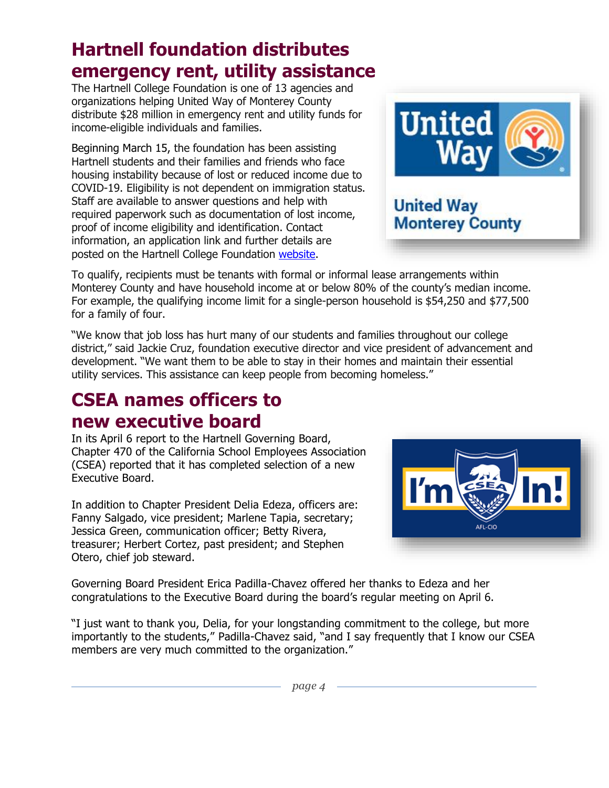## **Hartnell foundation distributes emergency rent, utility assistance**

The Hartnell College Foundation is one of 13 agencies and organizations helping United Way of Monterey County distribute \$28 million in emergency rent and utility funds for income-eligible individuals and families.

Beginning March 15, the foundation has been assisting Hartnell students and their families and friends who face housing instability because of lost or reduced income due to COVID-19. Eligibility is not dependent on immigration status. Staff are available to answer questions and help with required paperwork such as documentation of lost income, proof of income eligibility and identification. Contact information, an application link and further details are posted on the Hartnell College Foundation [website.](https://hartnellfoundation.org/emergency-rental-assistance-program/)

To qualify, recipients must be tenants with formal or informal lease arrangements within Monterey County and have household income at or below 80% of the county's median income. For example, the qualifying income limit for a single-person household is \$54,250 and \$77,500 for a family of four.

"We know that job loss has hurt many of our students and families throughout our college district," said Jackie Cruz, foundation executive director and vice president of advancement and development. "We want them to be able to stay in their homes and maintain their essential utility services. This assistance can keep people from becoming homeless."

## **CSEA names officers to new executive board**

In its April 6 report to the Hartnell Governing Board, Chapter 470 of the California School Employees Association (CSEA) reported that it has completed selection of a new Executive Board.

In addition to Chapter President Delia Edeza, officers are: Fanny Salgado, vice president; Marlene Tapia, secretary; Jessica Green, communication officer; Betty Rivera, treasurer; Herbert Cortez, past president; and Stephen Otero, chief job steward.

Governing Board President Erica Padilla-Chavez offered her thanks to Edeza and her congratulations to the Executive Board during the board's regular meeting on April 6.

"I just want to thank you, Delia, for your longstanding commitment to the college, but more importantly to the students," Padilla-Chavez said, "and I say frequently that I know our CSEA members are very much committed to the organization."

AFL-CIO



**United Way** 

**Monterey County**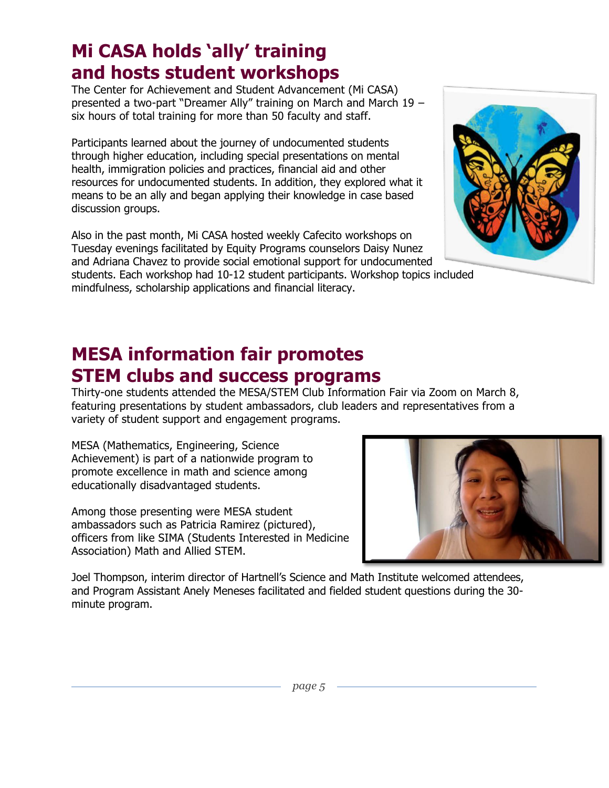### **Mi CASA holds 'ally' training and hosts student workshops**

The Center for Achievement and Student Advancement (Mi CASA) presented a two-part "Dreamer Ally" training on March and March 19 – six hours of total training for more than 50 faculty and staff.

Participants learned about the journey of undocumented students through higher education, including special presentations on mental health, immigration policies and practices, financial aid and other resources for undocumented students. In addition, they explored what it means to be an ally and began applying their knowledge in case based discussion groups.

Also in the past month, Mi CASA hosted weekly Cafecito workshops on Tuesday evenings facilitated by Equity Programs counselors Daisy Nunez and Adriana Chavez to provide social emotional support for undocumented students. Each workshop had 10-12 student participants. Workshop topics included mindfulness, scholarship applications and financial literacy.

## **MESA information fair promotes STEM clubs and success programs**

Thirty-one students attended the MESA/STEM Club Information Fair via Zoom on March 8, featuring presentations by student ambassadors, club leaders and representatives from a variety of student support and engagement programs.

MESA (Mathematics, Engineering, Science Achievement) is part of a nationwide program to promote excellence in math and science among educationally disadvantaged students.

Among those presenting were MESA student ambassadors such as Patricia Ramirez (pictured), officers from like SIMA (Students Interested in Medicine Association) Math and Allied STEM.

Joel Thompson, interim director of Hartnell's Science and Math Institute welcomed attendees, and Program Assistant Anely Meneses facilitated and fielded student questions during the 30 minute program.



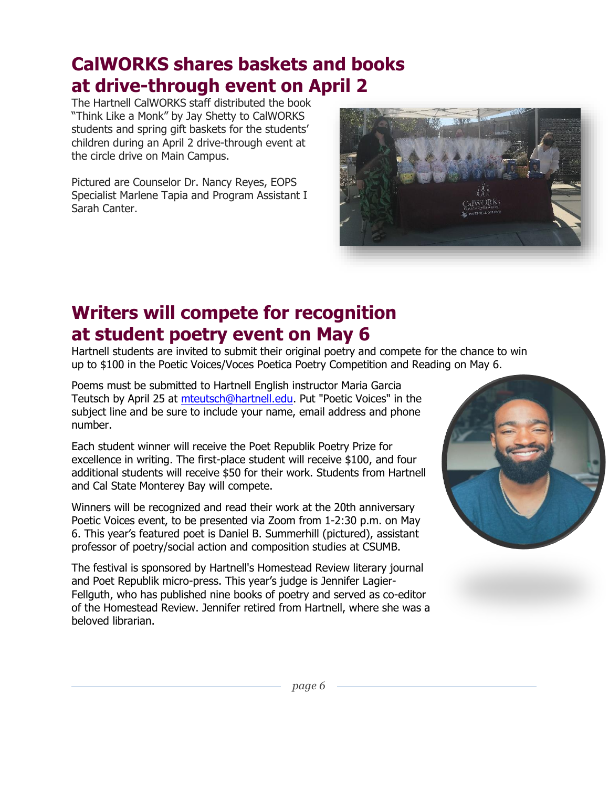## **CalWORKS shares baskets and books at drive-through event on April 2**

The Hartnell CalWORKS staff distributed the book "Think Like a Monk" by Jay Shetty to CalWORKS students and spring gift baskets for the students' children during an April 2 drive-through event at the circle drive on Main Campus.

Pictured are Counselor Dr. Nancy Reyes, EOPS Specialist Marlene Tapia and Program Assistant I Sarah Canter.



## **Writers will compete for recognition at student poetry event on May 6**

Hartnell students are invited to submit their original poetry and compete for the chance to win up to \$100 in the Poetic Voices/Voces Poetica Poetry Competition and Reading on May 6.

Poems must be submitted to Hartnell English instructor Maria Garcia Teutsch by April 25 at [mteutsch@hartnell.edu.](mailto:mteutsch@hartnell.edu) Put "Poetic Voices" in the subject line and be sure to include your name, email address and phone number.

Each student winner will receive the Poet Republik Poetry Prize for excellence in writing. The first-place student will receive \$100, and four additional students will receive \$50 for their work. Students from Hartnell and Cal State Monterey Bay will compete.

Winners will be recognized and read their work at the 20th anniversary Poetic Voices event, to be presented via Zoom from 1-2:30 p.m. on May 6. This year's featured poet is Daniel B. Summerhill (pictured), assistant professor of poetry/social action and composition studies at CSUMB.

The festival is sponsored by Hartnell's Homestead Review literary journal and Poet Republik micro-press. This year's judge is Jennifer Lagier-Fellguth, who has published nine books of poetry and served as co-editor of the Homestead Review. Jennifer retired from Hartnell, where she was a beloved librarian.



*page 6*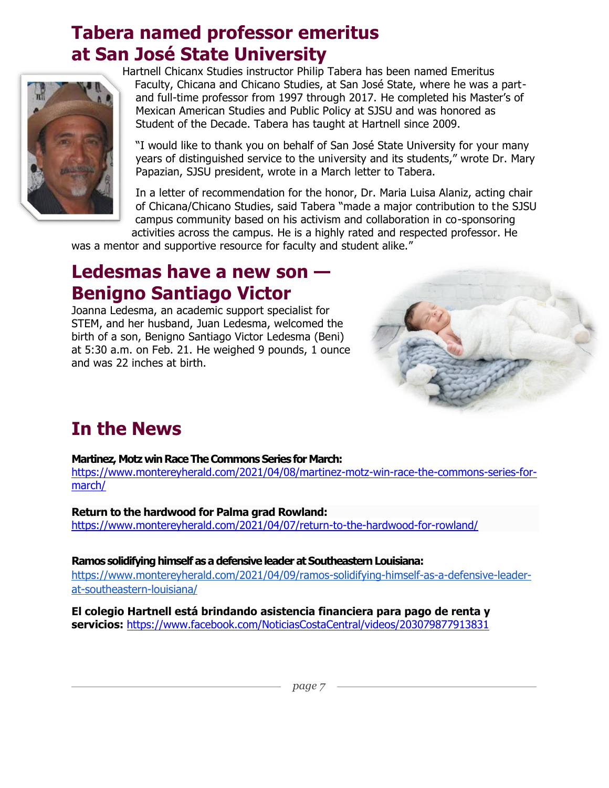### **Tabera named professor emeritus at San José State University**



Hartnell Chicanx Studies instructor Philip Tabera has been named Emeritus Faculty, Chicana and Chicano Studies, at San José State, where he was a partand full-time professor from 1997 through 2017. He completed his Master's of Mexican American Studies and Public Policy at SJSU and was honored as Student of the Decade. Tabera has taught at Hartnell since 2009.

"I would like to thank you on behalf of San José State University for your many years of distinguished service to the university and its students," wrote Dr. Mary Papazian, SJSU president, wrote in a March letter to Tabera.

In a letter of recommendation for the honor, Dr. Maria Luisa Alaniz, acting chair of Chicana/Chicano Studies, said Tabera "made a major contribution to the SJSU campus community based on his activism and collaboration in co-sponsoring activities across the campus. He is a highly rated and respected professor. He

was a mentor and supportive resource for faculty and student alike."

### **Ledesmas have a new son — Benigno Santiago Victor**

Joanna Ledesma, an academic support specialist for STEM, and her husband, Juan Ledesma, welcomed the birth of a son, Benigno Santiago Victor Ledesma (Beni) at 5:30 a.m. on Feb. 21. He weighed 9 pounds, 1 ounce and was 22 inches at birth.



## **In the News**

#### **Martinez, Motz win Race The Commons Series for March:**

[https://www.montereyherald.com/2021/04/08/martinez-motz-win-race-the-commons-series-for](https://www.montereyherald.com/2021/04/08/martinez-motz-win-race-the-commons-series-for-march/)[march/](https://www.montereyherald.com/2021/04/08/martinez-motz-win-race-the-commons-series-for-march/)

**Return to the hardwood for Palma grad Rowland:** [https://www.montereyherald.com/2021/04/07/return-to-the-hardwood-for-rowland/](https://www.montereyherald.com/2021/04/07/return-to-the-hardwood-for-rowland/%20?utm_medium=social&utm_content=fb-montereyherald&utm_campaign=socialflow&utm_source=facebook.com&fbclid=IwAR23qs_gJcyFV9EP0ZTuGgYd8MtiwOtN7smKewkLybvbwRfztQyqne7VpbI) 

**Ramos solidifying himself as a defensive leader at Southeastern Louisiana:**

https://www.montereyherald.com/2021/04/09/ramos-solidifying-himself-as-a-defensive-leaderat-southeastern-louisiana/

**El colegio Hartnell está brindando asistencia financiera para pago de renta y servicios:** <https://www.facebook.com/NoticiasCostaCentral/videos/203079877913831>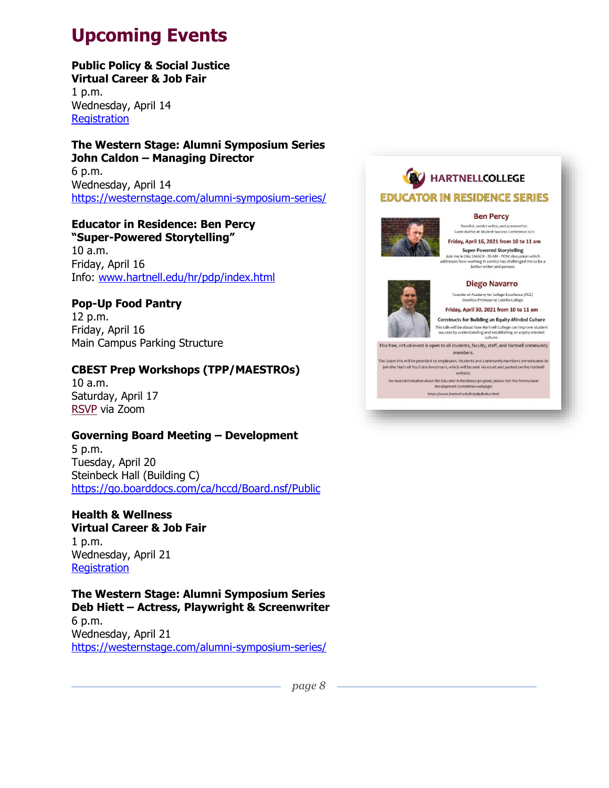# **Upcoming Events**

### **Public Policy & Social Justice**

**Virtual Career & Job Fair** 1 p.m. Wednesday, April 14 **[Registration](https://bit.ly/3qz1TVw)** 

#### **The Western Stage: Alumni Symposium Series John Caldon – Managing Director**

6 p.m. Wednesday, April 14 <https://westernstage.com/alumni-symposium-series/>

### **Educator in Residence: Ben Percy**

**"Super-Powered Storytelling"** 10 a.m. Friday, April 16 Info: [www.hartnell.edu/hr/pdp/index.html](http://www.hartnell.edu/hr/pdp/index.html)

### **Pop-Up Food Pantry**

12 p.m. Friday, April 16 Main Campus Parking Structure

### **CBEST Prep Workshops (TPP/MAESTROs)**

10 a.m. Saturday, April 17 [RSVP](https://csumb.edu/education/maestros) via Zoom

### **Governing Board Meeting – Development**

5 p.m. Tuesday, April 20 Steinbeck Hall (Building C) <https://go.boarddocs.com/ca/hccd/Board.nsf/Public>

#### **Health & Wellness Virtual Career & Job Fair** 1 p.m.

Wednesday, April 21 **[Registration](https://bit.ly/3qz1TVw)** 

**The Western Stage: Alumni Symposium Series Deb Hiett – Actress, Playwright & Screenwriter** 6 p.m. Wednesday, April 21 <https://westernstage.com/alumni-symposium-series/>

### **HARTNELLCOLLEGE EDUCATOR IN RESIDENCE SERIES**



#### **Ben Percy** Novelist, comics writer, and screenwriter.<br>sst Author at Student Success Conference 20:

Friday, April 16, 2021 from 10 to 11 am

### **Super-Powered Storytelling**

Join me in this SMACK - BLAM - POW discussion which<br>addresses how working in comics has challenged me to be a<br>better writer and person.

#### **Diego Navarro**



#### Friday, April 30, 2021 from 10 to 11 am **Constructs for Building an Equity-Minded Culture**

This talk will be about how Hartnell College can improve student<br>success by understanding and establishing an equity-minded<br>culture.

This free, virtual event is open to all students, faculty, staff, and Hartnell community members.

The Zoom link will be provided to employees. Students and community members are welcome to join the Hartnell YouTube livestream, which will be sent via email and posted on the Hartnell

For more information about the Educator in Residence program, please visit the Professional<br>Development Committee webpage: https://www.hartnell.edu/hr/pdp/index.html